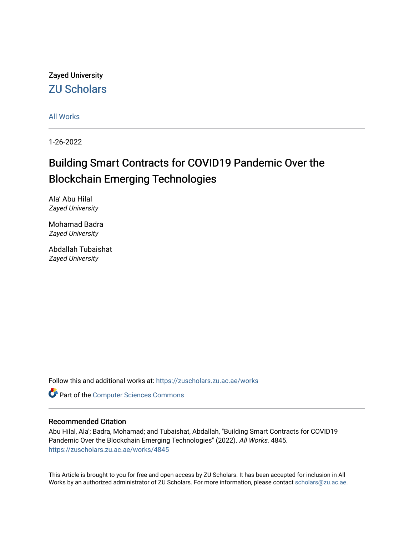Zayed University [ZU Scholars](https://zuscholars.zu.ac.ae/) 

[All Works](https://zuscholars.zu.ac.ae/works)

1-26-2022

# Building Smart Contracts for COVID19 Pandemic Over the Blockchain Emerging Technologies

Ala' Abu Hilal Zayed University

Mohamad Badra Zayed University

Abdallah Tubaishat Zayed University

Follow this and additional works at: [https://zuscholars.zu.ac.ae/works](https://zuscholars.zu.ac.ae/works?utm_source=zuscholars.zu.ac.ae%2Fworks%2F4845&utm_medium=PDF&utm_campaign=PDFCoverPages)

Part of the [Computer Sciences Commons](http://network.bepress.com/hgg/discipline/142?utm_source=zuscholars.zu.ac.ae%2Fworks%2F4845&utm_medium=PDF&utm_campaign=PDFCoverPages)

### Recommended Citation

Abu Hilal, Ala'; Badra, Mohamad; and Tubaishat, Abdallah, "Building Smart Contracts for COVID19 Pandemic Over the Blockchain Emerging Technologies" (2022). All Works. 4845. [https://zuscholars.zu.ac.ae/works/4845](https://zuscholars.zu.ac.ae/works/4845?utm_source=zuscholars.zu.ac.ae%2Fworks%2F4845&utm_medium=PDF&utm_campaign=PDFCoverPages)

This Article is brought to you for free and open access by ZU Scholars. It has been accepted for inclusion in All Works by an authorized administrator of ZU Scholars. For more information, please contact [scholars@zu.ac.ae](mailto:scholars@zu.ac.ae).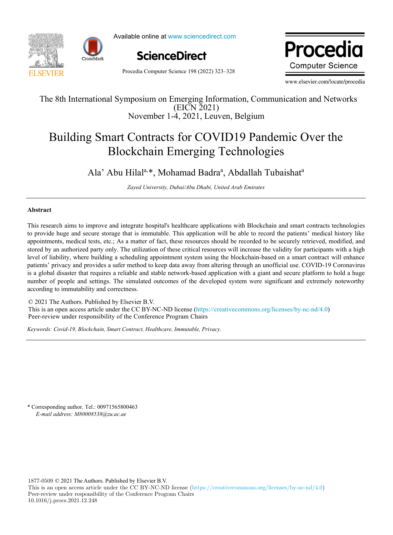



Available online at www.sciencedirect.com



Procedia Computer Science 198 (2022) 323–328

www.elsevier.com/locate/procediate/procediate/procediate/procediate/procediate/ Procedia **Computer Science** 

www.elsevier.com/locate/procedia

## $\mathbb{E}[\mathbf{E} \times \mathbf{E}]$ The 8th International Symposium on Emerging Information, Communication and Networks November 1-4, 2021, Leuven, Belgium (EICN 2021)

# Building Smart Contracts for COVID19 Pandemic Over the Blockchain Emerging Technologies

Ala' Abu Hilal<sup>a,\*</sup>, Mohamad Badra<sup>a</sup>, Abdallah Tubaishat<sup>a</sup>

*Zayed University, Dubai/Abu Dhabi, United Arab Emirates*

#### $A$ bstract $A$ shealthcare and integrate hospital's healthcare applications with Blockchain and smart contracts technologies technologies technologies technologies technologies technologies technologies technologies technol **Abstract**

This research aims to improve and integrate hospital's healthcare applications with Blockchain and smart contracts technologies to provide huge and secure storage that is immutable. This application will be able to record the patients' medical history like appointments, medical tests, etc.; As a matter of fact, these resources should be recorded to be securely retrieved, modified, and stored by an authorized party only. The utilization of these critical resources will increase the validity for participants with a high level of liability, where building a scheduling appointment system using the blockchain-based on a smart contract will enhance patients' privacy and provides a safer method to keep data away from altering through an unofficial use. COVID-19 Coronavirus is a global disaster that requires a reliable and stable network-based application with a giant and secure platform to hold a huge number of people and settings. The simulated outcomes of the developed system were significant and extremely noteworthy according to immutability and correctness.

© 2021 The Authors. Published by Elsevier B.V. © 2021 The Authors. Published by Elsevier B.V. This is an open access article under the CC BY-NC-ND license (https://creativecommons.org/licenses/by-nc-nd/4.0) Peer-review under responsibility of the Conference Program Chairs. The CONDITENT and the CONDITENT of the CONDITION of the CONDITIONS (http://creativecommons.org/licenses/by-nc-

Keywords: Covid-19, Blockchain, Smart Contract, Healthcare, Immutable, Privacy.

\* Corresponding author. Tel.: 00971565800463 *E-mail address: M80008538@zu.ac.ae*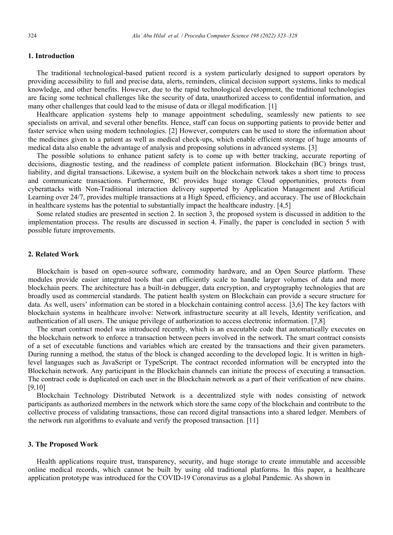### **1. Introduction**

The traditional technological-based patient record is a system particularly designed to support operators by providing accessibility to full and precise data, alerts, reminders, clinical decision support systems, links to medical knowledge, and other benefits. However, due to the rapid technological development, the traditional technologies are facing some technical challenges like the security of data, unauthorized access to confidential information, and many other challenges that could lead to the misuse of data or illegal modification. [1]

Healthcare application systems help to manage appointment scheduling, seamlessly new patients to see specialists on arrival, and several other benefits. Hence, staff can focus on supporting patients to provide better and faster service when using modern technologies. [2] However, computers can be used to store the information about the medicines given to a patient as well as medical check-ups, which enable efficient storage of huge amounts of medical data also enable the advantage of analysis and proposing solutions in advanced systems. [3]

The possible solutions to enhance patient safety is to come up with better tracking, accurate reporting of decisions, diagnostic testing, and the readiness of complete patient information. Blockchain (BC) brings trust, liability, and digital transactions. Likewise, a system built on the blockchain network takes a short time to process and communicate transactions. Furthermore, BC provides huge storage Cloud opportunities, protects from cyberattacks with Non-Traditional interaction delivery supported by Application Management and Artificial Learning over 24/7, provides multiple transactions at a High Speed, efficiency, and accuracy. The use of Blockchain in healthcare systems has the potential to substantially impact the healthcare industry. [4,5]

Some related studies are presented in section 2. In section 3, the proposed system is discussed in addition to the implementation process. The results are discussed in section 4. Finally, the paper is concluded in section 5 with possible future improvements.

### **2. Related Work**

Blockchain is based on open-source software, commodity hardware, and an Open Source platform. These modules provide easier integrated tools that can efficiently scale to handle larger volumes of data and more blockchain peers. The architecture has a built-in debugger, data encryption, and cryptography technologies that are broadly used as commercial standards. The patient health system on Blockchain can provide a secure structure for data. As well, users' information can be stored in a blockchain containing control access. [3,6] The key factors with blockchain systems in healthcare involve: Network infrastructure security at all levels, Identity verification, and authentication of all users. The unique privilege of authorization to access electronic information. [7,8]

The smart contract model was introduced recently, which is an executable code that automatically executes on the blockchain network to enforce a transaction between peers involved in the network. The smart contract consists of a set of executable functions and variables which are created by the transactions and their given parameters. During running a method, the status of the block is changed according to the developed logic. It is written in highlevel languages such as JavaScript or TypeScript. The contract recorded information will be encrypted into the Blockchain network. Any participant in the Blockchain channels can initiate the process of executing a transaction. The contract code is duplicated on each user in the Blockchain network as a part of their verification of new chains. [9,10]

Blockchain Technology Distributed Network is a decentralized style with nodes consisting of network participants as authorized members in the network which store the same copy of the blockchain and contribute to the collective process of validating transactions, those can record digital transactions into a shared ledger. Members of the network run algorithms to evaluate and verify the proposed transaction. [11]

#### **3. The Proposed Work**

Health applications require trust, transparency, security, and huge storage to create immutable and accessible online medical records, which cannot be built by using old traditional platforms. In this paper, a healthcare application prototype was introduced for the COVID-19 Coronavirus as a global Pandemic. As shown in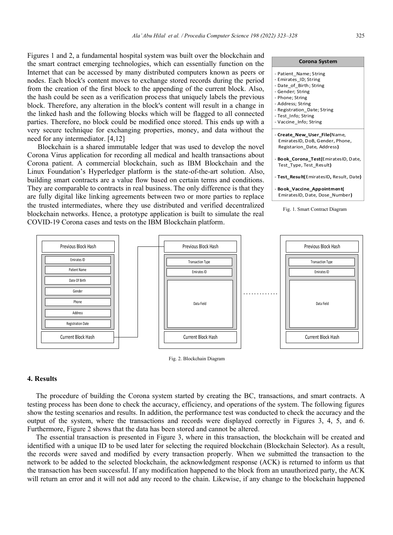Figures 1 and 2, a fundamental hospital system was built over the blockchain and the smart contract emerging technologies, which can essentially function on the Internet that can be accessed by many distributed computers known as peers or nodes. Each block's content moves to exchange stored records during the period from the creation of the first block to the appending of the current block. Also, the hash could be seen as a verification process that uniquely labels the previous block. Therefore, any alteration in the block's content will result in a change in the linked hash and the following blocks which will be flagged to all connected parties. Therefore, no block could be modified once stored. This ends up with a very secure technique for exchanging properties, money, and data without the need for any intermediator. [4,12]

Blockchain is a shared immutable ledger that was used to develop the novel Corona Virus application for recording all medical and health transactions about Corona patient. A commercial blockchain, such as IBM Blockchain and the Linux Foundation's Hyperledger platform is the state-of-the-art solution. Also, building smart contracts are a value flow based on certain terms and conditions. They are comparable to contracts in real business. The only difference is that they are fully digital like linking agreements between two or more parties to replace the trusted intermediates, where they use distributed and verified decentralized blockchain networks. Hence, a prototype application is built to simulate the real COVID-19 Corona cases and tests on the IBM Blockchain platform.





Fig. 2. Blockchain Diagram

#### **4. Results**

The procedure of building the Corona system started by creating the BC, transactions, and smart contracts. A testing process has been done to check the accuracy, efficiency, and operations of the system. The following figures show the testing scenarios and results. In addition, the performance test was conducted to check the accuracy and the output of the system, where the transactions and records were displayed correctly in Figures 3, 4, 5, and 6. Furthermore, Figure 2 shows that the data has been stored and cannot be altered.

The essential transaction is presented in Figure 3, where in this transaction, the blockchain will be created and identified with a unique ID to be used later for selecting the required blockchain (Blockchain Selector). As a result, the records were saved and modified by every transaction properly. When we submitted the transaction to the network to be added to the selected blockchain, the acknowledgment response (ACK) is returned to inform us that the transaction has been successful. If any modification happened to the block from an unauthorized party, the ACK will return an error and it will not add any record to the chain. Likewise, if any change to the blockchain happened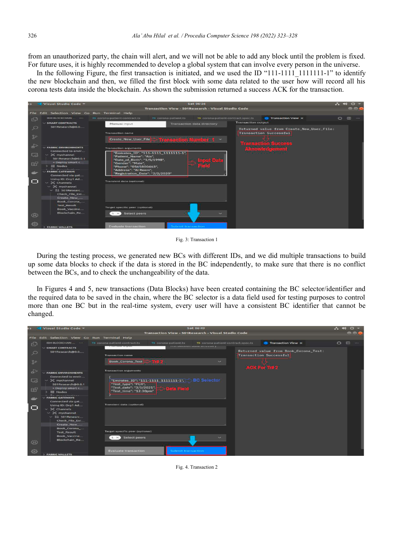from an unauthorized party, the chain will alert, and we will not be able to add any block until the problem is fixed. For future uses, it is highly recommended to develop a global system that can involve every person in the universe.

In the following Figure, the first transaction is initiated, and we used the ID " $111-1111111-1$ " to identify the new blockchain and then, we filled the first block with some data related to the user how will record all his corona tests data inside the blockchain. As shown the submission returned a success ACK for the transaction.

| e s            | Visual Studio Code -                                   | <b>Sat 06:26</b>                                                                                                           | $2 - 40$<br>$\mathcal{O}$ $\rightarrow$ |
|----------------|--------------------------------------------------------|----------------------------------------------------------------------------------------------------------------------------|-----------------------------------------|
|                |                                                        | Transaction View - 501Research - Visual Studio Code                                                                        | e eu                                    |
|                | File Edit Selection View Go Run Terminal Help          |                                                                                                                            |                                         |
| f(x)           | IBM BLOCKCHAIN                                         | rs corona-patient-contract.ts<br><b>C</b> Transaction View X<br>TO corona-patient.ts<br>T8 corona-patient-contract.spec.ts | $\Box$<br>$-$                           |
|                | $\vee$ SMART CONTRACTS<br>501Research@0.0              | <b>Transaction output</b><br><b>Transaction data directory</b><br>Manual input                                             |                                         |
| <b>S</b>       |                                                        | Returned value from Create_New_User_File:                                                                                  |                                         |
| 30             |                                                        | <b>Transaction Successful</b><br><b>Transaction name</b>                                                                   |                                         |
|                |                                                        | Create_New_User_File<br>a stranovni stav Dafti i u                                                                         |                                         |
| $\rightarrow$  | <b>V FARRIC ENVIRONMENTS</b><br>Connected to envir     | Aknowledgemen<br><b>Transaction arguments</b>                                                                              |                                         |
| $\Box$         | $~>$ 34 mychannel<br>501 Research@0.0.1                | "Emirates ID": "111-1111 1111111-1",<br>"Patient Name": "Ala",                                                             |                                         |
| $E^{\circ}$    | + Deploy smart c<br><b>RR</b> Nodes                    | "Date_of_Birth": "1/5/1998",<br>"Gender": "Male".                                                                          |                                         |
|                | <b><i>On maximiliana</i></b><br><b>FABRIC GATEWAYS</b> | "Phone": "0565800463",<br>"Address": "Al Reem",                                                                            |                                         |
|                | Connected via gat                                      | "Registration_Date": "2/2/2020"                                                                                            |                                         |
|                | Using ID: Org1 Ad<br>$~\vee~$ 36 Channels              | <b>Transient data (optional)</b>                                                                                           |                                         |
|                | $\sim$ 34 mychannel                                    |                                                                                                                            |                                         |
|                | $ 2\lambda$ 501Researc<br>Check File Exi               |                                                                                                                            |                                         |
|                | Create New                                             |                                                                                                                            |                                         |
|                | Book_Corona_<br><b>Test Result</b>                     |                                                                                                                            |                                         |
|                | Book Vaccine                                           | Target specific peer (optional)                                                                                            |                                         |
| $^{\circledR}$ | Blockchain Re                                          | Select peers<br>$1 \times$                                                                                                 |                                         |
|                |                                                        |                                                                                                                            |                                         |
| 發              | <b><i>PABRIC WALLETS</i></b>                           | <b>Evaluate transaction</b><br>Submit transaction                                                                          |                                         |

Fig. 3: Transaction 1

During the testing process, we generated new BCs with different IDs, and we did multiple transactions to build up some data blocks to check if the data is stored in the BC independently, to make sure that there is no conflict between the BCs, and to check the unchangeability of the data.

In Figures 4 and 5, new transactions (Data Blocks) have been created containing the BC selector/identifier and the required data to be saved in the chain, where the BC selector is a data field used for testing purposes to control more than one BC but in the real-time system, every user will have a consistent BC identifier that cannot be changed.

|                | Visual Studio Code -                                |                                          |                                                  | Sat 06:49                                            |                                                                        | $2 - 40$       | $\frac{1}{2}$ $\frac{1}{2}$ $\frac{1}{2}$ |
|----------------|-----------------------------------------------------|------------------------------------------|--------------------------------------------------|------------------------------------------------------|------------------------------------------------------------------------|----------------|-------------------------------------------|
|                |                                                     |                                          |                                                  | Transaction View - 501 Research - Visual Studio Code |                                                                        |                | 888                                       |
|                | File Edit Selection View Go Run Terminal Help       |                                          |                                                  |                                                      |                                                                        |                |                                           |
| $\mathbb{C}$   | IBM BLOCKCHAIN                                      | 15 corona-patient-contract.ts            | 15 corona-patient.ts                             | 18 corona-patient-contract.spec.ts                   | <b>O</b> Transaction View X                                            | $\blacksquare$ | m<br>1.11                                 |
|                | $\vee$ SMART CONTRACTS                              | *******************                      |                                                  | <b>EXAMPLE ANALYSIS (MALERIA MALERIALES)</b>         |                                                                        |                |                                           |
| ್ಲ             | 501Research@0.0                                     | <b>Transaction name</b>                  |                                                  |                                                      | Returned value from Book_Corona_Test:<br><b>Transaction Successful</b> |                |                                           |
| 30             |                                                     | Book_Corona_Test                         | <b>TITLE</b>                                     | $\sim$                                               |                                                                        |                |                                           |
|                |                                                     |                                          |                                                  |                                                      | ACK For THE 2                                                          |                |                                           |
| ♧              | <b>FABRIC ENVIRONMENTS</b>                          | <b>Transaction arguments</b>             |                                                  |                                                      |                                                                        |                |                                           |
|                | Connected to envir                                  |                                          |                                                  |                                                      |                                                                        |                |                                           |
| $L_{\odot}$    | $\vee$ $\mathcal{H}$ mychannel<br>501Research@0.0.1 | "Test_type": "PCR",                      | "Emirates_ID": "111-1111_1111111-1", BC Selector |                                                      |                                                                        |                |                                           |
|                | + Deploy smart c                                    | "Test_date": "3/5/2021",                 | Data Field                                       |                                                      |                                                                        |                |                                           |
| B <sup>o</sup> | <b>RR Nodes</b>                                     | "Test_time": "12:30pm"                   |                                                  |                                                      |                                                                        |                |                                           |
| متلقف          | <b>Barbarantentinan</b><br><b>FABRIC GATEWAYS</b>   |                                          |                                                  |                                                      |                                                                        |                |                                           |
|                | Connected via gat                                   | <b>Transient data (optional)</b>         |                                                  |                                                      |                                                                        |                |                                           |
| $\Box$         | Using ID: Org1 Ad<br>$\sim$ $\frac{1}{2}$ Channels  |                                          |                                                  |                                                      |                                                                        |                |                                           |
|                | $\sim$ 30 mychannel                                 |                                          |                                                  |                                                      |                                                                        |                |                                           |
|                | $~\vee~$ 2å 501Researc                              |                                          |                                                  |                                                      |                                                                        |                |                                           |
|                | Check File Exi<br>Create_New ____                   |                                          |                                                  |                                                      |                                                                        |                |                                           |
|                | Book Corona                                         |                                          |                                                  |                                                      |                                                                        |                |                                           |
|                | <b>Test Result</b>                                  | <b>Target specific peer (optional)</b>   |                                                  |                                                      |                                                                        |                |                                           |
|                | <b>Book Vaccine</b><br>Blockchain_Re                | Select peers<br>$\mathbf{1}$<br>$\times$ |                                                  |                                                      |                                                                        |                |                                           |
| $^{\circ}$     |                                                     |                                          |                                                  |                                                      |                                                                        |                |                                           |
|                |                                                     |                                          |                                                  |                                                      |                                                                        |                |                                           |
| 3              | <b>FABRIC WALLETS</b>                               | <b>Evaluate transaction</b>              | Submit transaction                               |                                                      |                                                                        |                |                                           |

Fig. 4. Transaction 2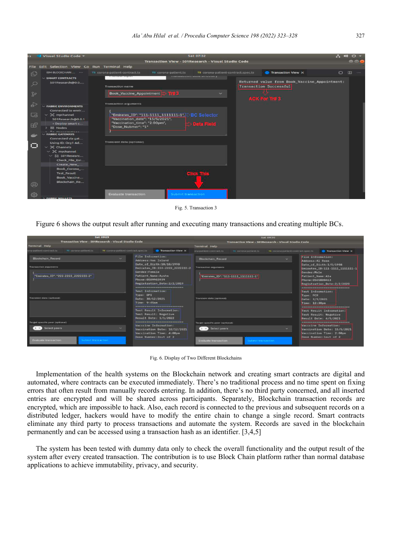| $\overline{\phantom{a}}$ | Visual Studio Code =                                                                                                     |                                                                           | <b>Sat 07:32</b>                                                                       |                                                                                | $\mathcal{C}^{(1)}$<br>274     |
|--------------------------|--------------------------------------------------------------------------------------------------------------------------|---------------------------------------------------------------------------|----------------------------------------------------------------------------------------|--------------------------------------------------------------------------------|--------------------------------|
|                          |                                                                                                                          |                                                                           | Transaction View - 501 Research - Visual Studio Code                                   |                                                                                | <b>888</b>                     |
| <b>File</b>              | Edit Selection View Go Run Terminal Help                                                                                 |                                                                           |                                                                                        |                                                                                |                                |
| 四                        | IBM BLOCKCHAIN                                                                                                           | TB corona-patient-contract.ts<br>TS corona-patient.ts                     | T8 corona-patient-contract.spec.ts<br><b>EXAMPLEMENT CARLS AND ARREST MARINESES OF</b> | <b>C</b> Transaction View X                                                    | $\circ$<br>$\Box$<br>(9, 6, 6) |
| $\circ$                  | $\vee$ SMART CONTRACTS<br>501Research@0.0                                                                                | <b>Transaction name</b>                                                   |                                                                                        | Returned value from Book_Vaccine_Appointment:<br><b>Transaction Successful</b> |                                |
| go                       |                                                                                                                          | Book_Vaccine_Appointment   下#3                                            |                                                                                        | ACK For Titl 3                                                                 |                                |
| <b>A</b>                 | $\vee$ FABRIC ENVIRONMENTS<br>Connected to envir                                                                         | <b>Transaction arguments</b>                                              |                                                                                        |                                                                                |                                |
| あ                        | $\sim$ 3 mychannel<br>501Research@0.0.1                                                                                  | "Emirates_ID": "111-1111_11111111-1",<br>"Vaccination_date": "15/5/2021", | <b>BC</b> Selector                                                                     |                                                                                |                                |
| $H^{\mathcal{P}}$        | + Deploy smart c<br><b>88 Nodes</b>                                                                                      | "Vaccination_time": "2:00pm",<br>"Dose_Nubmer": "1"                       | <b>S Data Field</b>                                                                    |                                                                                |                                |
|                          | 1 Pa monatesten<br><b>FABRIC GATEWAYS</b><br>Connected via gat                                                           |                                                                           |                                                                                        |                                                                                |                                |
|                          | Using ID: Org1 Ad<br>$~\vee~$ 34 Channels<br>$\sim$ $2C$ mychannel<br>$~\vee~$ $^{83}_{65}$ 501Researc<br>Check File Exi | Transient data (optional)                                                 |                                                                                        |                                                                                |                                |
| $^{\circledR}$           | Create_New_<br>Book Corona<br><b>Test Result</b><br><b>Book Vaccine</b><br>Blockchain_Re                                 |                                                                           |                                                                                        |                                                                                |                                |
| 63                       |                                                                                                                          | <b>Evaluate transaction</b><br>Submit transaction                         |                                                                                        |                                                                                |                                |

Fig. 5. Transaction 3

Figure 6 shows the output result after running and executing many transactions and creating multiple BCs.

| <b>Sat 09:29</b>                                                                                                                   | <b>Sat 09:30</b>                                                                                                                                                                                                                                                                                                                                                                                                                                                                                                                                                                       |                                                                                                                               |                      |                                    |                                                                                                                                                                                                                                                                                                         |                                                                                                                                                                                                                                    |
|------------------------------------------------------------------------------------------------------------------------------------|----------------------------------------------------------------------------------------------------------------------------------------------------------------------------------------------------------------------------------------------------------------------------------------------------------------------------------------------------------------------------------------------------------------------------------------------------------------------------------------------------------------------------------------------------------------------------------------|-------------------------------------------------------------------------------------------------------------------------------|----------------------|------------------------------------|---------------------------------------------------------------------------------------------------------------------------------------------------------------------------------------------------------------------------------------------------------------------------------------------------------|------------------------------------------------------------------------------------------------------------------------------------------------------------------------------------------------------------------------------------|
| Transaction View - 501Research - Visual Studio Code                                                                                | Transaction View - 501Research - Visual Studio Code                                                                                                                                                                                                                                                                                                                                                                                                                                                                                                                                    |                                                                                                                               |                      |                                    |                                                                                                                                                                                                                                                                                                         |                                                                                                                                                                                                                                    |
| <b>Terminal Help</b>                                                                                                               |                                                                                                                                                                                                                                                                                                                                                                                                                                                                                                                                                                                        | <b>Terminal Help</b>                                                                                                          |                      |                                    |                                                                                                                                                                                                                                                                                                         |                                                                                                                                                                                                                                    |
| na-patient-contract.ts<br>TB corona-patient.ts<br>T8 corona-patient-contract.spec.ts                                               | <b>D</b> Transaction View X                                                                                                                                                                                                                                                                                                                                                                                                                                                                                                                                                            | ana-patient-contract.ts                                                                                                       | 15 corona-patient.ts | TS corona patient contract spec.ts |                                                                                                                                                                                                                                                                                                         | <b>Transaction View X</b>                                                                                                                                                                                                          |
| <b>Blockchain Record</b><br>÷<br><b>Transaction arguments</b><br>"Emirates_ID": "222-2222_22222222-2"<br>Transient data (optional) | File Information:<br>Address: Yas Island<br>Date_of_Birth:10/10/1990<br>Emirates_ID:222-2222_2222222-2<br>Gender:Female<br>Patient Name: Aysha<br>Phone: 0509903939<br>Registration Date:2/2/2019<br>----------------------------<br><b>Test Information:</b><br>Type: DPI<br>Date: 30/12/2021<br>Time: 9:45am<br>-----------------------------------<br>Test Result Information:<br>Test Result: Negative<br>Result Date: 1/1/2022<br>--------------------------------<br>Vacceine Information:<br>Vaccination Date: 10/12/2021<br>Vaccination Time: 4:00pm<br>Dose Number: 2out of 2 | <b>Blockchain Record</b><br><b>Transaction arguments</b><br>"Emirates ID": "111-1111 11111111-1"<br>Translent data (optional) |                      |                                    | <b>File Information:</b><br>Address: Al Reem<br>Date_of_Birth:1/5/1998<br>Emirates_ID:111-1111_1111111-1<br>Gender: Male<br>Patient Name: Ala<br>Phone: 0565800463<br>Registration Date: 2/2/2020<br>Test Information:<br>Type: PCR<br>Date: 3/5/2021<br>Time: 12:30pm<br>----------------------------- |                                                                                                                                                                                                                                    |
| Target specific peer (cotional)<br>Select peers<br><b>Evaluate transaction</b><br>ubmit transaction                                |                                                                                                                                                                                                                                                                                                                                                                                                                                                                                                                                                                                        | Target specific peer (optional)<br>Select peers<br><b>Evaluate transaction</b>                                                | Submit transaction   |                                    |                                                                                                                                                                                                                                                                                                         | Test Result Information:<br>Test Result: Negative<br>Result Date: 4/5/2021<br>-------------------------------<br>Vacccine Information:<br>Vaccination Date: 15/5/2021<br><b>Vaccination Time: 2:00pm</b><br>Dose Number: lout of 2 |

Fig. 6. Display of Two Different Blockchains

Implementation of the health systems on the Blockchain network and creating smart contracts are digital and automated, where contracts can be executed immediately. There's no traditional process and no time spent on fixing errors that often result from manually records entering. In addition, there's no third party concerned, and all inserted entries are encrypted and will be shared across participants. Separately, Blockchain transaction records are encrypted, which are impossible to hack. Also, each record is connected to the previous and subsequent records on a distributed ledger, hackers would have to modify the entire chain to change a single record. Smart contracts eliminate any third party to process transactions and automate the system. Records are saved in the blockchain permanently and can be accessed using a transaction hash as an identifier. [3,4,5]

The system has been tested with dummy data only to check the overall functionality and the output result of the system after every created transaction. The contribution is to use Block Chain platform rather than normal database applications to achieve immutability, privacy, and security.